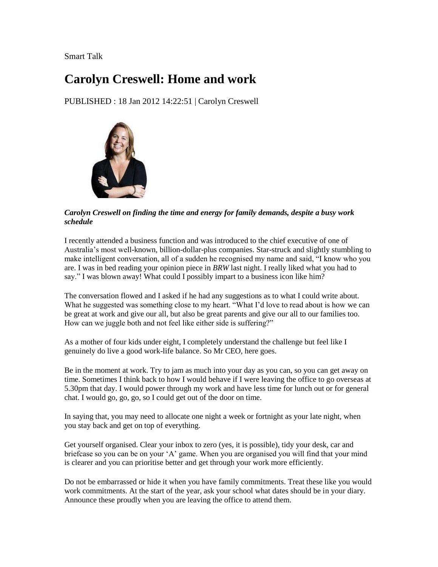Smart Talk

## **Carolyn Creswell: Home and work**

PUBLISHED : 18 Jan 2012 14:22:51 | Carolyn Creswell



*Carolyn Creswell on finding the time and energy for family demands, despite a busy work schedule*

I recently attended a business function and was introduced to the chief executive of one of Australia"s most well-known, billion-dollar-plus companies. Star-struck and slightly stumbling to make intelligent conversation, all of a sudden he recognised my name and said, "I know who you are. I was in bed reading your opinion piece in *BRW* last night. I really liked what you had to say." I was blown away! What could I possibly impart to a business icon like him?

The conversation flowed and I asked if he had any suggestions as to what I could write about. What he suggested was something close to my heart. "What I'd love to read about is how we can be great at work and give our all, but also be great parents and give our all to our families too. How can we juggle both and not feel like either side is suffering?"

As a mother of four kids under eight, I completely understand the challenge but feel like I genuinely do live a good work-life balance. So Mr CEO, here goes.

Be in the moment at work. Try to jam as much into your day as you can, so you can get away on time. Sometimes I think back to how I would behave if I were leaving the office to go overseas at 5.30pm that day. I would power through my work and have less time for lunch out or for general chat. I would go, go, go, so I could get out of the door on time.

In saying that, you may need to allocate one night a week or fortnight as your late night, when you stay back and get on top of everything.

Get yourself organised. Clear your inbox to zero (yes, it is possible), tidy your desk, car and briefcase so you can be on your "A" game. When you are organised you will find that your mind is clearer and you can prioritise better and get through your work more efficiently.

Do not be embarrassed or hide it when you have family commitments. Treat these like you would work commitments. At the start of the year, ask your school what dates should be in your diary. Announce these proudly when you are leaving the office to attend them.